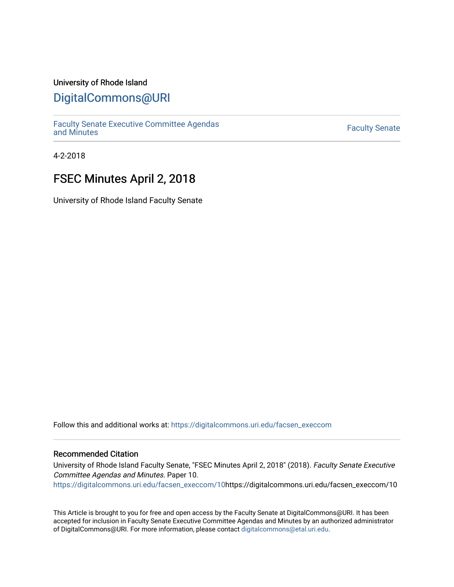## University of Rhode Island

## [DigitalCommons@URI](https://digitalcommons.uri.edu/)

[Faculty Senate Executive Committee Agendas](https://digitalcommons.uri.edu/facsen_execcom)  [and Minutes](https://digitalcommons.uri.edu/facsen_execcom) [Faculty Senate](https://digitalcommons.uri.edu/facsen) 

4-2-2018

# FSEC Minutes April 2, 2018

University of Rhode Island Faculty Senate

Follow this and additional works at: [https://digitalcommons.uri.edu/facsen\\_execcom](https://digitalcommons.uri.edu/facsen_execcom?utm_source=digitalcommons.uri.edu%2Ffacsen_execcom%2F10&utm_medium=PDF&utm_campaign=PDFCoverPages) 

#### Recommended Citation

University of Rhode Island Faculty Senate, "FSEC Minutes April 2, 2018" (2018). Faculty Senate Executive Committee Agendas and Minutes. Paper 10. [https://digitalcommons.uri.edu/facsen\\_execcom/10h](https://digitalcommons.uri.edu/facsen_execcom/10?utm_source=digitalcommons.uri.edu%2Ffacsen_execcom%2F10&utm_medium=PDF&utm_campaign=PDFCoverPages)ttps://digitalcommons.uri.edu/facsen\_execcom/10

This Article is brought to you for free and open access by the Faculty Senate at DigitalCommons@URI. It has been accepted for inclusion in Faculty Senate Executive Committee Agendas and Minutes by an authorized administrator of DigitalCommons@URI. For more information, please contact [digitalcommons@etal.uri.edu](mailto:digitalcommons@etal.uri.edu).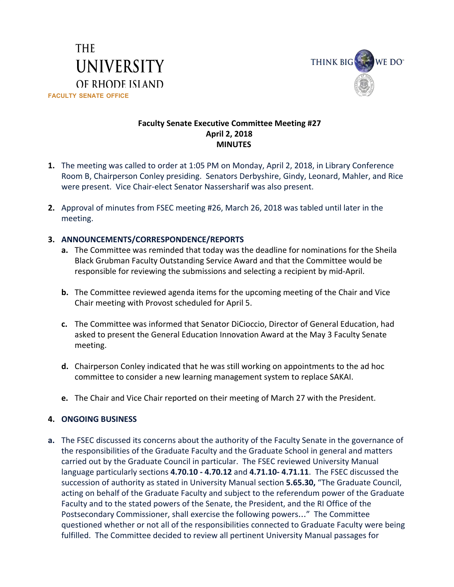



## **Faculty Senate Executive Committee Meeting #27 April 2, 2018 MINUTES**

- **1.** The meeting was called to order at 1:05 PM on Monday, April 2, 2018, in Library Conference Room B, Chairperson Conley presiding. Senators Derbyshire, Gindy, Leonard, Mahler, and Rice were present. Vice Chair-elect Senator Nassersharif was also present.
- **2.** Approval of minutes from FSEC meeting #26, March 26, 2018 was tabled until later in the meeting.

## **3. ANNOUNCEMENTS/CORRESPONDENCE/REPORTS**

- **a.** The Committee was reminded that today was the deadline for nominations for the Sheila Black Grubman Faculty Outstanding Service Award and that the Committee would be responsible for reviewing the submissions and selecting a recipient by mid-April.
- **b.** The Committee reviewed agenda items for the upcoming meeting of the Chair and Vice Chair meeting with Provost scheduled for April 5.
- **c.** The Committee was informed that Senator DiCioccio, Director of General Education, had asked to present the General Education Innovation Award at the May 3 Faculty Senate meeting.
- **d.** Chairperson Conley indicated that he was still working on appointments to the ad hoc committee to consider a new learning management system to replace SAKAI.
- **e.** The Chair and Vice Chair reported on their meeting of March 27 with the President.

### **4. ONGOING BUSINESS**

**a.** The FSEC discussed its concerns about the authority of the Faculty Senate in the governance of the responsibilities of the Graduate Faculty and the Graduate School in general and matters carried out by the Graduate Council in particular. The FSEC reviewed University Manual language particularly sections **4.70.10 - 4.70.12** and **4.71.10- 4.71.11**. The FSEC discussed the succession of authority as stated in University Manual section **5.65.30,** "The Graduate Council, acting on behalf of the Graduate Faculty and subject to the referendum power of the Graduate Faculty and to the stated powers of the Senate, the President, and the RI Office of the Postsecondary Commissioner, shall exercise the following powers…" The Committee questioned whether or not all of the responsibilities connected to Graduate Faculty were being fulfilled. The Committee decided to review all pertinent University Manual passages for